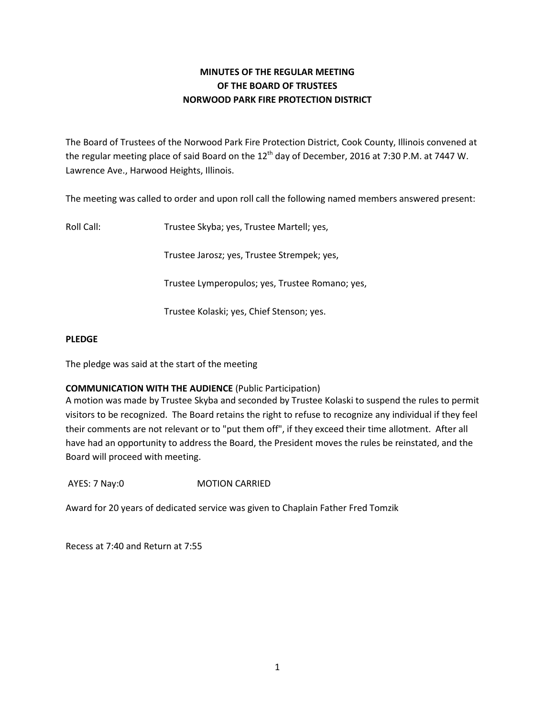# **MINUTES OF THE REGULAR MEETING OF THE BOARD OF TRUSTEES NORWOOD PARK FIRE PROTECTION DISTRICT**

The Board of Trustees of the Norwood Park Fire Protection District, Cook County, Illinois convened at the regular meeting place of said Board on the  $12<sup>th</sup>$  day of December, 2016 at 7:30 P.M. at 7447 W. Lawrence Ave., Harwood Heights, Illinois.

The meeting was called to order and upon roll call the following named members answered present:

Roll Call: Trustee Skyba; yes, Trustee Martell; yes,

Trustee Jarosz; yes, Trustee Strempek; yes,

Trustee Lymperopulos; yes, Trustee Romano; yes,

Trustee Kolaski; yes, Chief Stenson; yes.

### **PLEDGE**

The pledge was said at the start of the meeting

# **COMMUNICATION WITH THE AUDIENCE** (Public Participation)

A motion was made by Trustee Skyba and seconded by Trustee Kolaski to suspend the rules to permit visitors to be recognized. The Board retains the right to refuse to recognize any individual if they feel their comments are not relevant or to "put them off", if they exceed their time allotment. After all have had an opportunity to address the Board, the President moves the rules be reinstated, and the Board will proceed with meeting.

AYES: 7 Nay:0 **MOTION CARRIED** 

Award for 20 years of dedicated service was given to Chaplain Father Fred Tomzik

Recess at 7:40 and Return at 7:55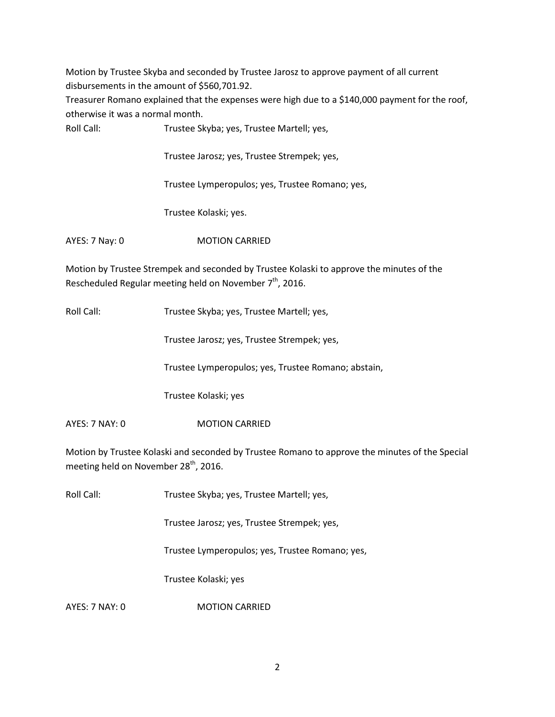Motion by Trustee Skyba and seconded by Trustee Jarosz to approve payment of all current disbursements in the amount of \$560,701.92.

Treasurer Romano explained that the expenses were high due to a \$140,000 payment for the roof, otherwise it was a normal month.

Roll Call: Trustee Skyba; yes, Trustee Martell; yes,

Trustee Jarosz; yes, Trustee Strempek; yes,

Trustee Lymperopulos; yes, Trustee Romano; yes,

Trustee Kolaski; yes.

AYES: 7 Nay: 0 MOTION CARRIED

Motion by Trustee Strempek and seconded by Trustee Kolaski to approve the minutes of the Rescheduled Regular meeting held on November  $7<sup>th</sup>$ , 2016.

Roll Call: Trustee Skyba; yes, Trustee Martell; yes,

Trustee Jarosz; yes, Trustee Strempek; yes,

Trustee Lymperopulos; yes, Trustee Romano; abstain,

Trustee Kolaski; yes

AYES: 7 NAY: 0 MOTION CARRIED

Motion by Trustee Kolaski and seconded by Trustee Romano to approve the minutes of the Special meeting held on November 28<sup>th</sup>, 2016.

Roll Call: Trustee Skyba; yes, Trustee Martell; yes,

Trustee Jarosz; yes, Trustee Strempek; yes,

Trustee Lymperopulos; yes, Trustee Romano; yes,

Trustee Kolaski; yes

AYES: 7 NAY: 0 MOTION CARRIED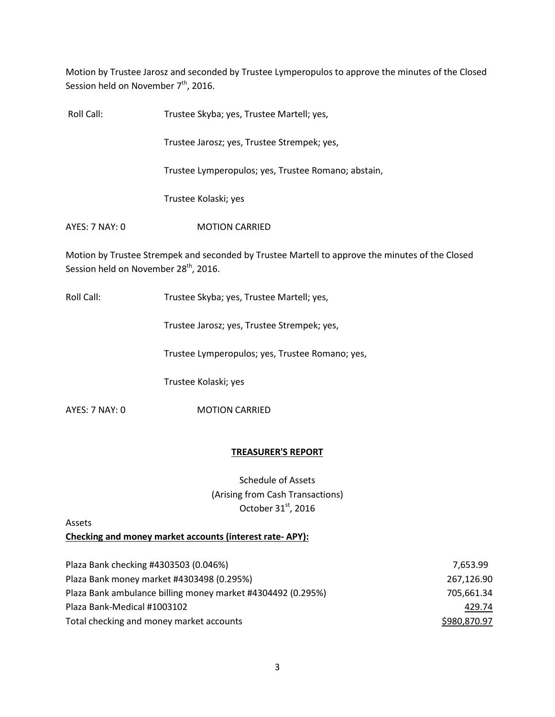Motion by Trustee Jarosz and seconded by Trustee Lymperopulos to approve the minutes of the Closed Session held on November  $7<sup>th</sup>$ , 2016.

| Roll Call:     | Trustee Skyba; yes, Trustee Martell; yes,           |
|----------------|-----------------------------------------------------|
|                | Trustee Jarosz; yes, Trustee Strempek; yes,         |
|                | Trustee Lymperopulos; yes, Trustee Romano; abstain, |
|                | Trustee Kolaski; yes                                |
| AYES: 7 NAY: 0 | <b>MOTION CARRIED</b>                               |

Motion by Trustee Strempek and seconded by Trustee Martell to approve the minutes of the Closed Session held on November 28<sup>th</sup>, 2016.

Roll Call: Trustee Skyba; yes, Trustee Martell; yes,

Trustee Jarosz; yes, Trustee Strempek; yes,

Trustee Lymperopulos; yes, Trustee Romano; yes,

Trustee Kolaski; yes

AYES: 7 NAY: 0 MOTION CARRIED

### **TREASURER'S REPORT**

Schedule of Assets (Arising from Cash Transactions) October 31<sup>st</sup>, 2016

Assets

**Checking and money market accounts (interest rate- APY):** 

| Plaza Bank checking #4303503 (0.046%)                       | 7.653.99     |
|-------------------------------------------------------------|--------------|
| Plaza Bank money market #4303498 (0.295%)                   | 267,126.90   |
| Plaza Bank ambulance billing money market #4304492 (0.295%) | 705,661.34   |
| Plaza Bank-Medical #1003102                                 | 429.74       |
| Total checking and money market accounts                    | \$980,870.97 |
|                                                             |              |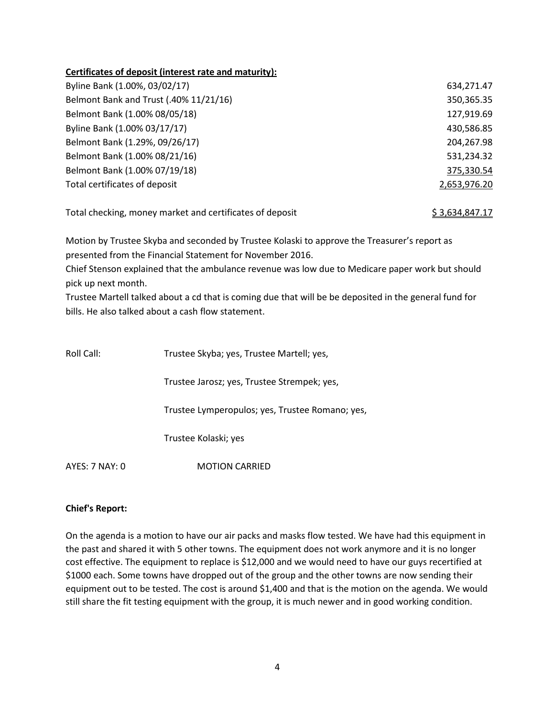# **Certificates of deposit (interest rate and maturity):**

| Byline Bank (1.00%, 03/02/17)          | 634,271.47   |
|----------------------------------------|--------------|
| Belmont Bank and Trust (.40% 11/21/16) | 350,365.35   |
| Belmont Bank (1.00% 08/05/18)          | 127,919.69   |
| Byline Bank (1.00% 03/17/17)           | 430,586.85   |
| Belmont Bank (1.29%, 09/26/17)         | 204,267.98   |
| Belmont Bank (1.00% 08/21/16)          | 531,234.32   |
| Belmont Bank (1.00% 07/19/18)          | 375,330.54   |
| Total certificates of deposit          | 2,653,976.20 |
|                                        |              |

Total checking, money market and certificates of deposit  $$3,634,847.17$ 

Motion by Trustee Skyba and seconded by Trustee Kolaski to approve the Treasurer's report as presented from the Financial Statement for November 2016.

Chief Stenson explained that the ambulance revenue was low due to Medicare paper work but should pick up next month.

Trustee Martell talked about a cd that is coming due that will be be deposited in the general fund for bills. He also talked about a cash flow statement.

| Roll Call:     | Trustee Skyba; yes, Trustee Martell; yes,       |
|----------------|-------------------------------------------------|
|                | Trustee Jarosz; yes, Trustee Strempek; yes,     |
|                | Trustee Lymperopulos; yes, Trustee Romano; yes, |
|                | Trustee Kolaski; yes                            |
| AYES: 7 NAY: 0 | <b>MOTION CARRIED</b>                           |

### **Chief's Report:**

On the agenda is a motion to have our air packs and masks flow tested. We have had this equipment in the past and shared it with 5 other towns. The equipment does not work anymore and it is no longer cost effective. The equipment to replace is \$12,000 and we would need to have our guys recertified at \$1000 each. Some towns have dropped out of the group and the other towns are now sending their equipment out to be tested. The cost is around \$1,400 and that is the motion on the agenda. We would still share the fit testing equipment with the group, it is much newer and in good working condition.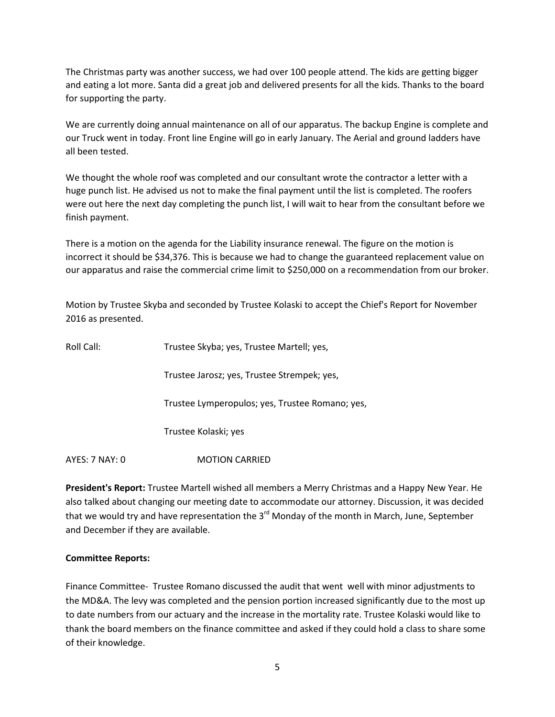The Christmas party was another success, we had over 100 people attend. The kids are getting bigger and eating a lot more. Santa did a great job and delivered presents for all the kids. Thanks to the board for supporting the party.

We are currently doing annual maintenance on all of our apparatus. The backup Engine is complete and our Truck went in today. Front line Engine will go in early January. The Aerial and ground ladders have all been tested.

We thought the whole roof was completed and our consultant wrote the contractor a letter with a huge punch list. He advised us not to make the final payment until the list is completed. The roofers were out here the next day completing the punch list, I will wait to hear from the consultant before we finish payment.

There is a motion on the agenda for the Liability insurance renewal. The figure on the motion is incorrect it should be \$34,376. This is because we had to change the guaranteed replacement value on our apparatus and raise the commercial crime limit to \$250,000 on a recommendation from our broker.

Motion by Trustee Skyba and seconded by Trustee Kolaski to accept the Chief's Report for November 2016 as presented.

| Roll Call:     | Trustee Skyba; yes, Trustee Martell; yes,       |
|----------------|-------------------------------------------------|
|                | Trustee Jarosz; yes, Trustee Strempek; yes,     |
|                | Trustee Lymperopulos; yes, Trustee Romano; yes, |
|                | Trustee Kolaski; yes                            |
| AYES: 7 NAY: 0 | <b>MOTION CARRIED</b>                           |

**President's Report:** Trustee Martell wished all members a Merry Christmas and a Happy New Year. He also talked about changing our meeting date to accommodate our attorney. Discussion, it was decided that we would try and have representation the  $3<sup>rd</sup>$  Monday of the month in March, June, September and December if they are available.

### **Committee Reports:**

Finance Committee- Trustee Romano discussed the audit that went well with minor adjustments to the MD&A. The levy was completed and the pension portion increased significantly due to the most up to date numbers from our actuary and the increase in the mortality rate. Trustee Kolaski would like to thank the board members on the finance committee and asked if they could hold a class to share some of their knowledge.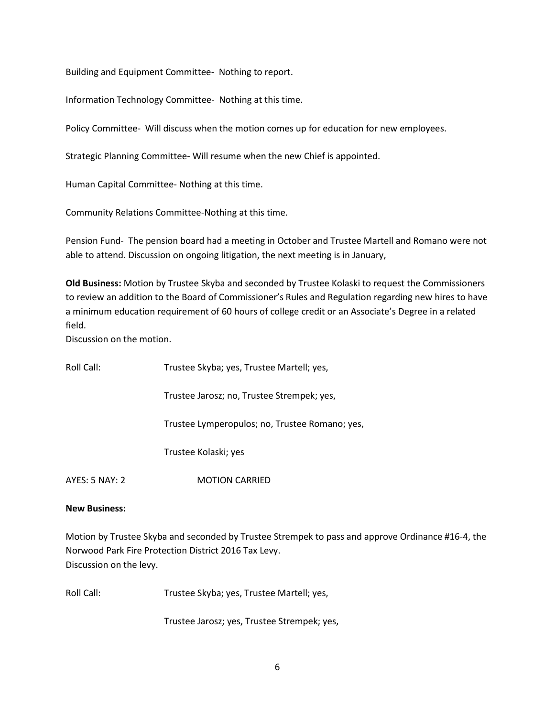Building and Equipment Committee- Nothing to report.

Information Technology Committee- Nothing at this time.

Policy Committee- Will discuss when the motion comes up for education for new employees.

Strategic Planning Committee- Will resume when the new Chief is appointed.

Human Capital Committee- Nothing at this time.

Community Relations Committee-Nothing at this time.

Pension Fund- The pension board had a meeting in October and Trustee Martell and Romano were not able to attend. Discussion on ongoing litigation, the next meeting is in January,

**Old Business:** Motion by Trustee Skyba and seconded by Trustee Kolaski to request the Commissioners to review an addition to the Board of Commissioner's Rules and Regulation regarding new hires to have a minimum education requirement of 60 hours of college credit or an Associate's Degree in a related field.

Discussion on the motion.

| Roll Call:            | Trustee Skyba; yes, Trustee Martell; yes,      |
|-----------------------|------------------------------------------------|
|                       | Trustee Jarosz; no, Trustee Strempek; yes,     |
|                       | Trustee Lymperopulos; no, Trustee Romano; yes, |
|                       | Trustee Kolaski; yes                           |
| <b>AYES: 5 NAY: 2</b> | <b>MOTION CARRIED</b>                          |

### **New Business:**

Motion by Trustee Skyba and seconded by Trustee Strempek to pass and approve Ordinance #16-4, the Norwood Park Fire Protection District 2016 Tax Levy. Discussion on the levy.

Roll Call: Trustee Skyba; yes, Trustee Martell; yes,

Trustee Jarosz; yes, Trustee Strempek; yes,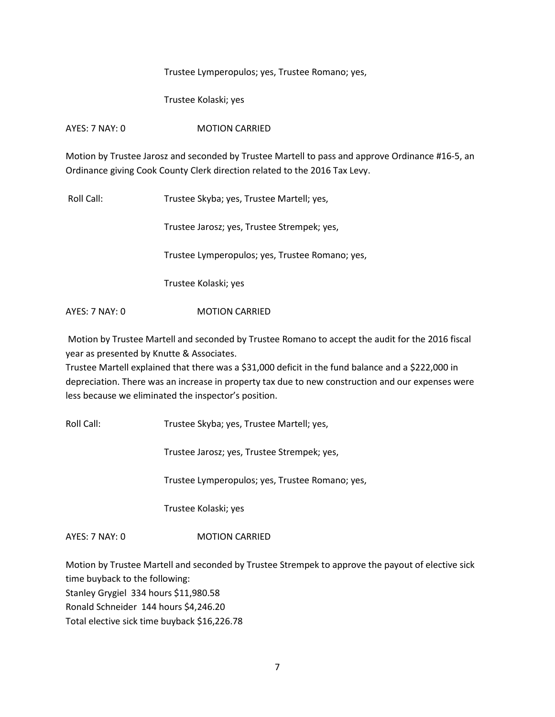### Trustee Lymperopulos; yes, Trustee Romano; yes,

Trustee Kolaski; yes

## AYES: 7 NAY: 0 MOTION CARRIED

Motion by Trustee Jarosz and seconded by Trustee Martell to pass and approve Ordinance #16-5, an Ordinance giving Cook County Clerk direction related to the 2016 Tax Levy.

Roll Call: Trustee Skyba; yes, Trustee Martell; yes,

Trustee Jarosz; yes, Trustee Strempek; yes,

Trustee Lymperopulos; yes, Trustee Romano; yes,

Trustee Kolaski; yes

AYES: 7 NAY: 0 **MOTION CARRIED** 

Motion by Trustee Martell and seconded by Trustee Romano to accept the audit for the 2016 fiscal year as presented by Knutte & Associates.

Trustee Martell explained that there was a \$31,000 deficit in the fund balance and a \$222,000 in depreciation. There was an increase in property tax due to new construction and our expenses were less because we eliminated the inspector's position.

Roll Call: Trustee Skyba; yes, Trustee Martell; yes,

Trustee Jarosz; yes, Trustee Strempek; yes,

Trustee Lymperopulos; yes, Trustee Romano; yes,

Trustee Kolaski; yes

AYES: 7 NAY: 0 MOTION CARRIED

Motion by Trustee Martell and seconded by Trustee Strempek to approve the payout of elective sick time buyback to the following: Stanley Grygiel 334 hours \$11,980.58 Ronald Schneider 144 hours \$4,246.20 Total elective sick time buyback \$16,226.78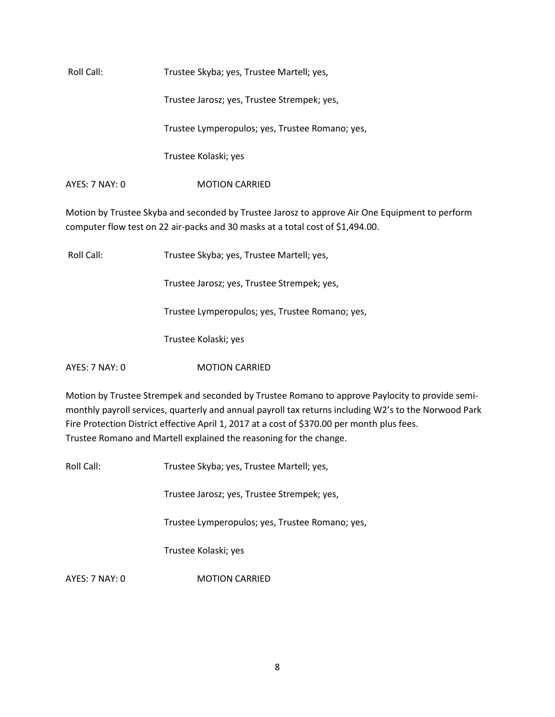Roll Call: Trustee Skyba; yes, Trustee Martell; yes, Trustee Jarosz; yes, Trustee Strempek; yes, Trustee Lymperopulos; yes, Trustee Romano; yes, Trustee Kolaski; yes AYES: 7 NAY: 0 MOTION CARRIED

Motion by Trustee Skyba and seconded by Trustee Jarosz to approve Air One Equipment to perform computer flow test on 22 air-packs and 30 masks at a total cost of \$1,494.00.

Roll Call: Trustee Skyba; yes, Trustee Martell; yes,

Trustee Jarosz; yes, Trustee Strempek; yes,

Trustee Lymperopulos; yes, Trustee Romano; yes,

Trustee Kolaski; yes

AYES: 7 NAY: 0 **MOTION CARRIED** 

Motion by Trustee Strempek and seconded by Trustee Romano to approve Paylocity to provide semimonthly payroll services, quarterly and annual payroll tax returns including W2's to the Norwood Park Fire Protection District effective April 1, 2017 at a cost of \$370.00 per month plus fees. Trustee Romano and Martell explained the reasoning for the change.

Roll Call: Trustee Skyba; yes, Trustee Martell; yes,

Trustee Jarosz; yes, Trustee Strempek; yes,

Trustee Lymperopulos; yes, Trustee Romano; yes,

Trustee Kolaski; yes

AYES: 7 NAY: 0 MOTION CARRIED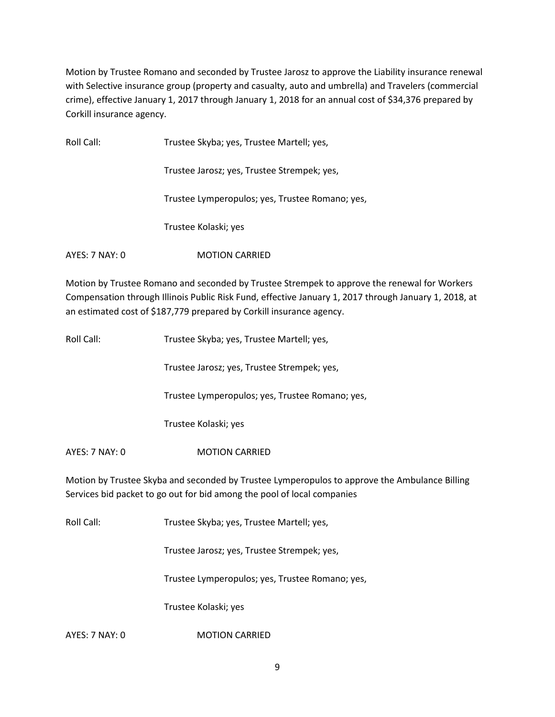Motion by Trustee Romano and seconded by Trustee Jarosz to approve the Liability insurance renewal with Selective insurance group (property and casualty, auto and umbrella) and Travelers (commercial crime), effective January 1, 2017 through January 1, 2018 for an annual cost of \$34,376 prepared by Corkill insurance agency.

| Roll Call:     | Trustee Skyba; yes, Trustee Martell; yes,       |
|----------------|-------------------------------------------------|
|                | Trustee Jarosz; yes, Trustee Strempek; yes,     |
|                | Trustee Lymperopulos; yes, Trustee Romano; yes, |
|                | Trustee Kolaski; yes                            |
| AYES: 7 NAY: 0 | <b>MOTION CARRIED</b>                           |

Motion by Trustee Romano and seconded by Trustee Strempek to approve the renewal for Workers Compensation through Illinois Public Risk Fund, effective January 1, 2017 through January 1, 2018, at an estimated cost of \$187,779 prepared by Corkill insurance agency.

| Roll Call:                                                                                                                                                               | Trustee Skyba; yes, Trustee Martell; yes,       |
|--------------------------------------------------------------------------------------------------------------------------------------------------------------------------|-------------------------------------------------|
|                                                                                                                                                                          | Trustee Jarosz; yes, Trustee Strempek; yes,     |
|                                                                                                                                                                          | Trustee Lymperopulos; yes, Trustee Romano; yes, |
|                                                                                                                                                                          | Trustee Kolaski; yes                            |
| AYES: 7 NAY: 0                                                                                                                                                           | <b>MOTION CARRIED</b>                           |
| Motion by Trustee Skyba and seconded by Trustee Lymperopulos to approve the Ambulance Billing<br>Services bid packet to go out for bid among the pool of local companies |                                                 |
| Roll Call:                                                                                                                                                               | Trustee Skyba; yes, Trustee Martell; yes,       |
|                                                                                                                                                                          | Trustee Jarosz; yes, Trustee Strempek; yes,     |

Trustee Lymperopulos; yes, Trustee Romano; yes,

Trustee Kolaski; yes

AYES: 7 NAY: 0 MOTION CARRIED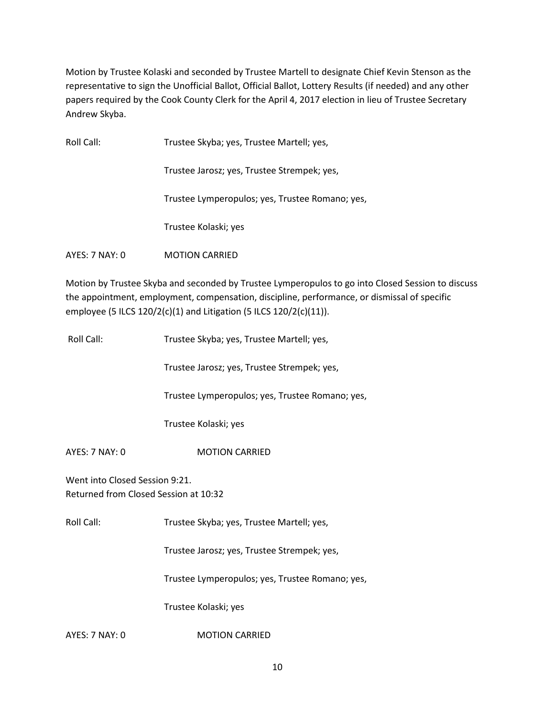Motion by Trustee Kolaski and seconded by Trustee Martell to designate Chief Kevin Stenson as the representative to sign the Unofficial Ballot, Official Ballot, Lottery Results (if needed) and any other papers required by the Cook County Clerk for the April 4, 2017 election in lieu of Trustee Secretary Andrew Skyba.

| Roll Call:     | Trustee Skyba; yes, Trustee Martell; yes,       |
|----------------|-------------------------------------------------|
|                | Trustee Jarosz; yes, Trustee Strempek; yes,     |
|                | Trustee Lymperopulos; yes, Trustee Romano; yes, |
|                | Trustee Kolaski; yes                            |
| AYES: 7 NAY: 0 | <b>MOTION CARRIED</b>                           |

Motion by Trustee Skyba and seconded by Trustee Lymperopulos to go into Closed Session to discuss the appointment, employment, compensation, discipline, performance, or dismissal of specific employee (5 ILCS 120/2(c)(1) and Litigation (5 ILCS 120/2(c)(11)).

| Roll Call:                                                              | Trustee Skyba; yes, Trustee Martell; yes,       |
|-------------------------------------------------------------------------|-------------------------------------------------|
|                                                                         | Trustee Jarosz; yes, Trustee Strempek; yes,     |
|                                                                         | Trustee Lymperopulos; yes, Trustee Romano; yes, |
|                                                                         | Trustee Kolaski; yes                            |
| AYES: 7 NAY: 0                                                          | <b>MOTION CARRIED</b>                           |
| Went into Closed Session 9:21.<br>Returned from Closed Session at 10:32 |                                                 |
| Roll Call:                                                              | Trustee Skyba; yes, Trustee Martell; yes,       |
|                                                                         | Trustee Jarosz; yes, Trustee Strempek; yes,     |
|                                                                         | Trustee Lymperopulos; yes, Trustee Romano; yes, |
|                                                                         | Trustee Kolaski; yes                            |
| AYES: 7 NAY: 0                                                          | <b>MOTION CARRIED</b>                           |